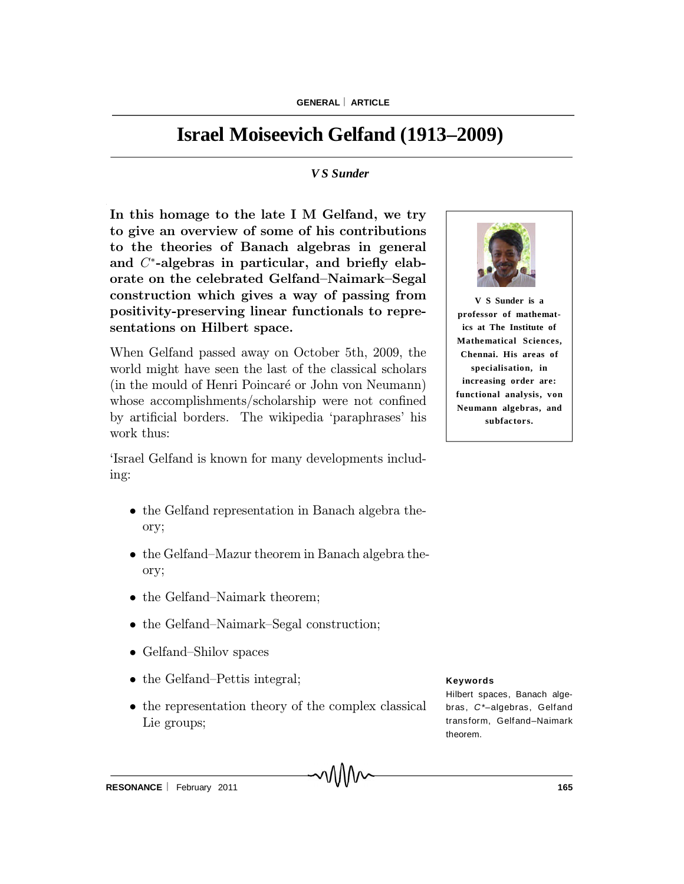# **Israel Moiseevich Gelfand (1913–2009)**

### *V S Sunder*

In this homage to the late I M Gelfand, we try to give an overview of some of his contributions to the theories of Banach algebras in general and  $C^*$ -algebras in particular, and briefly elaborate on the celebrated Gelfand-Naimark-Segal construction which gives a way of passing from positivity-preserving linear functionals to representations on Hilbert space.

When Gelfand passed away on October 5th, 2009, the world might have seen the last of the classical scholars (in the mould of Henri Poincaré or John von Neumann) whose accomplishments/scholarship were not confined by artificial borders. The wikipedia 'paraphrases' his work thus:

`Israel Gelfand is known for many developments including:

- the Gelfand representation in Banach algebra theory;
- the Gelfand–Mazur theorem in Banach algebra theory;
- the Gelfand-Naimark theorem;
- the Gelfand–Naimark–Segal construction;
- Gelfand-Shilov spaces
- $\bullet$  the Gelfand-Pettis integral;
- the representation theory of the complex classical Lie groups;

MMW



**V S Sunder is a professor of mathematics at The Institute of Mathematical Sciences, Chennai. His areas of specialisation, in increasing order are: functional analysis, von Neumann algebras, and subfactors.**

#### **Keywords**

Hilbert spaces, Banach algebras, *C\*–*algebras, Gelfand transform, Gelfand–Naimark theorem.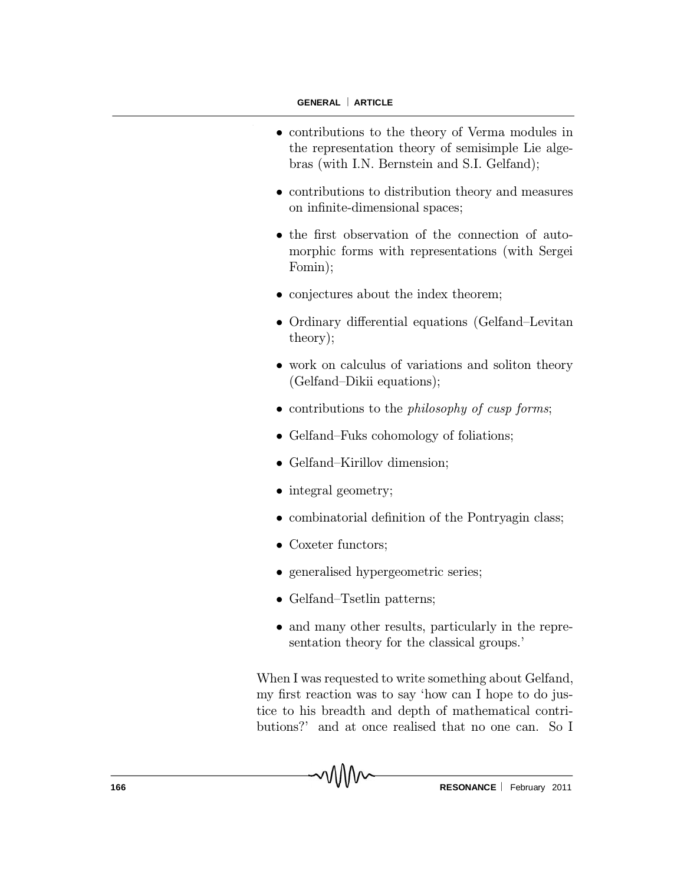$\ddot{\phantom{a}}$ 

- contributions to the theory of Verma modules in the representation theory of semisimple Lie algebras (with I.N. Bernstein and S.I. Gelfand);
- contributions to distribution theory and measures on infinite-dimensional spaces;
- the first observation of the connection of automorphic forms with representations (with Sergei Fomin);
- conjectures about the index theorem;
- Ordinary differential equations (Gelfand-Levitan theory);
- work on calculus of variations and soliton theory (Gelfand-Dikii equations);
- $\bullet$  contributions to the *philosophy of cusp forms*;
- Gelfand–Fuks cohomology of foliations;
- Gelfand-Kirillov dimension;
- integral geometry;
- combinatorial definition of the Pontryagin class;
- Coxeter functors;
- generalised hypergeometric series;
- Gelfand-Tsetlin patterns;
- and many other results, particularly in the representation theory for the classical groups.'

When I was requested to write something about Gelfand, my first reaction was to say 'how can I hope to do justice to his breadth and depth of mathematical contributions?' and at once realised that no one can. So I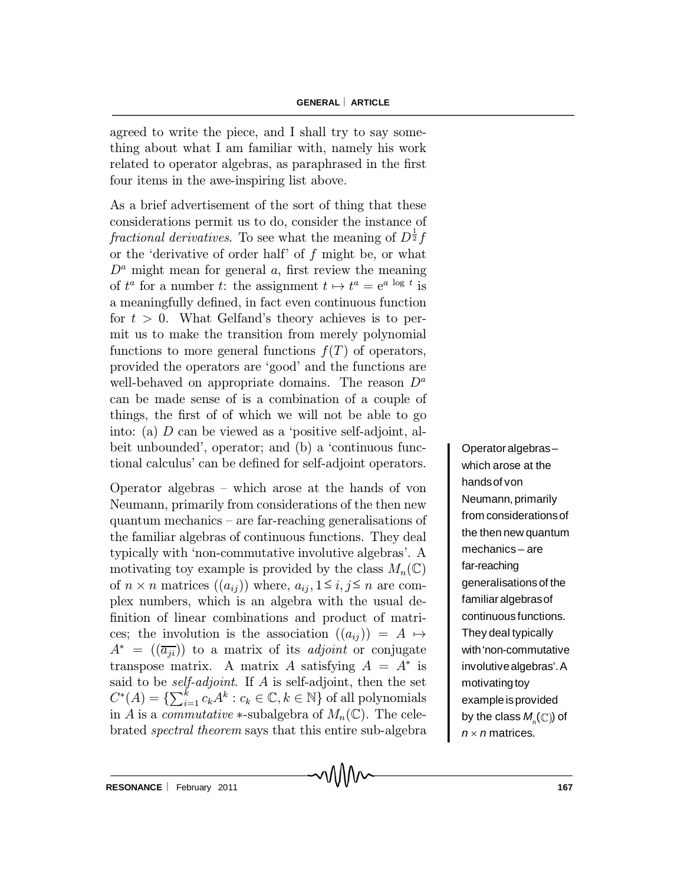agreed to write the piece, and I shall try to say something about what I am familiar with, namely his work related to operator algebras, as paraphrased in the first four items in the awe-inspiring list above.

As a brief advertisement of the sort of thing that these considerations permit us to do, consider the instance of fractional derivatives. To see what the meaning of  $D^{\frac{1}{2}}f$ or the 'derivative of order half' of  $f$  might be, or what  $D^a$  might mean for general a, first review the meaning of  $t^a$  for a number t: the assignment  $t \mapsto t^a = e^{a \log t}$  is a meaningfully defined, in fact even continuous function for  $t > 0$ . What Gelfand's theory achieves is to permit us to make the transition from merely polynomial functions to more general functions  $f(T)$  of operators, provided the operators are `good' and the functions are well-behaved on appropriate domains. The reason  $D^a$ can be made sense of is a combination of a couple of things, the first of of which we will not be able to go into: (a)  $D$  can be viewed as a 'positive self-adjoint, albeit unbounded', operator; and (b) a 'continuous functional calculus' can be defined for self-adjoint operators.

Operator algebras - which arose at the hands of von Neumann, primarily from considerations of the then new quantum mechanics  $-$  are far-reaching generalisations of the familiar algebras of continuous functions. They deal typically with `non-commutative involutive algebras'. A motivating toy example is provided by the class  $M_n(\mathbb{C})$ of  $n \times n$  matrices  $((a_{ij}))$  where,  $a_{ij}, 1 \le i, j \le n$  are complex numbers, which is an algebra with the usual de finition of linear combinations and product of matrices; the involution is the association  $((a_{ii}) ) = A \mapsto$  $A^* = ((\overline{a_{ji}}))$  to a matrix of its *adjoint* or conjugate transpose matrix. A matrix A satisfying  $A = A^*$  is said to be *self-adjoint*. If  $A$  is self-adjoint, then the set  $C^*(A) = \{ \sum_{i=1}^k c_k A^k : c_k \in \mathbb{C}, k \in \mathbb{N} \}$  of all polynomials in A is a *commutative*  $\ast$ -subalgebra of  $M_n(\mathbb{C})$ . The celebrated spectral theorem says that this entire sub-algebra

า∖/∖∖∧

Operator algebras– which arose at the handsof von Neumann, primarily from considerationsof the then new quantum mechanics – are far-reaching generalisations of the familiar algebrasof continuous functions. They deal typically with'non-commutative involutivealgebras'.A motivating toy example is provided by the class  $M_{_{\mathsf{N}}}(\mathbb{C})$ ) of  $n \times n$  matrices.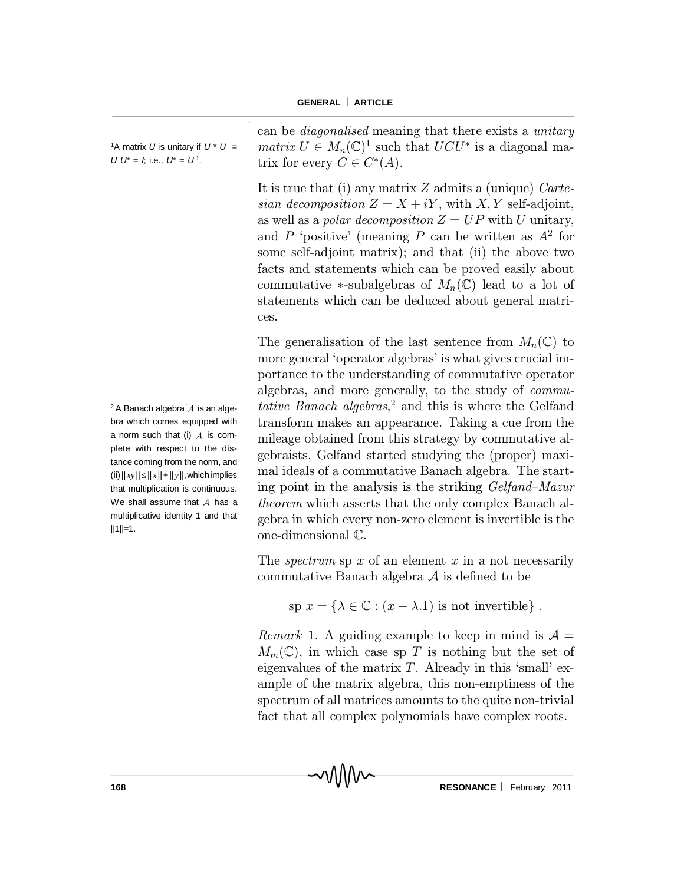**GENERAL ARTICLE**

| <sup>1</sup> A matrix U is unitary if $U^* U =$ |  |
|-------------------------------------------------|--|
| $111^* = 11^* = 11^*$                           |  |

*U*  $U^* = I$ ; i.e.,  $U^* = U^1$ . .

can be diagonalised meaning that there exists a unitary matrix  $U \in M_n(\mathbb{C})^1$  such that  $UCU^*$  is a diagonal matrix for every  $C \in C^*(A)$ .

It is true that (i) any matrix  $Z$  admits a (unique) Cartesian decomposition  $Z = X + iY$ , with X, Y self-adjoint, as well as a polar decomposition  $Z = UP$  with U unitary, and P 'positive' (meaning P can be written as  $A^2$  for some self-adjoint matrix); and that (ii) the above two facts and statements which can be proved easily about commutative \*-subalgebras of  $M_n(\mathbb{C})$  lead to a lot of statements which can be deduced about general matrices.

The generalisation of the last sentence from  $M_n(\mathbb{C})$  to more general 'operator algebras' is what gives crucial importance to the understanding of commutative operator algebras, and more generally, to the study of commutative Banach algebras,<sup>2</sup> and this is where the Gelfand transform makes an appearance. Taking a cue from the mileage obtained from this strategy by commutative algebraists, Gelfand started studying the (proper) maximal ideals of a commutative Banach algebra. The starting point in the analysis is the striking  $Gelfand-Mazur$ theorem which asserts that the only complex Banach algebra in which every non-zero element is invertible is the one-dimensional C.

The *spectrum* sp  $x$  of an element  $x$  in a not necessarily commutative Banach algebra  $A$  is defined to be

sp  $x = \{\lambda \in \mathbb{C} : (x - \lambda.1)$  is not invertible}.

*Remark* 1. A guiding example to keep in mind is  $A =$  $M_m(\mathbb{C})$ , in which case sp T is nothing but the set of eigenvalues of the matrix  $T$ . Already in this 'small' example of the matrix algebra, this non-emptiness of the spectrum of all matrices amounts to the quite non-trivial fact that all complex polynomials have complex roots.

 $2A$  Banach algebra  $A$  is an algebra which comes equipped with a norm such that (i)  $A$  is complete with respect to the distance coming from the norm, and  $(iii)||xy|| \leq ||x|| + ||y||$ , which implies that multiplication is continuous. We shall assume that  $A$  has a multiplicative identity 1 and that  $||1||=1.$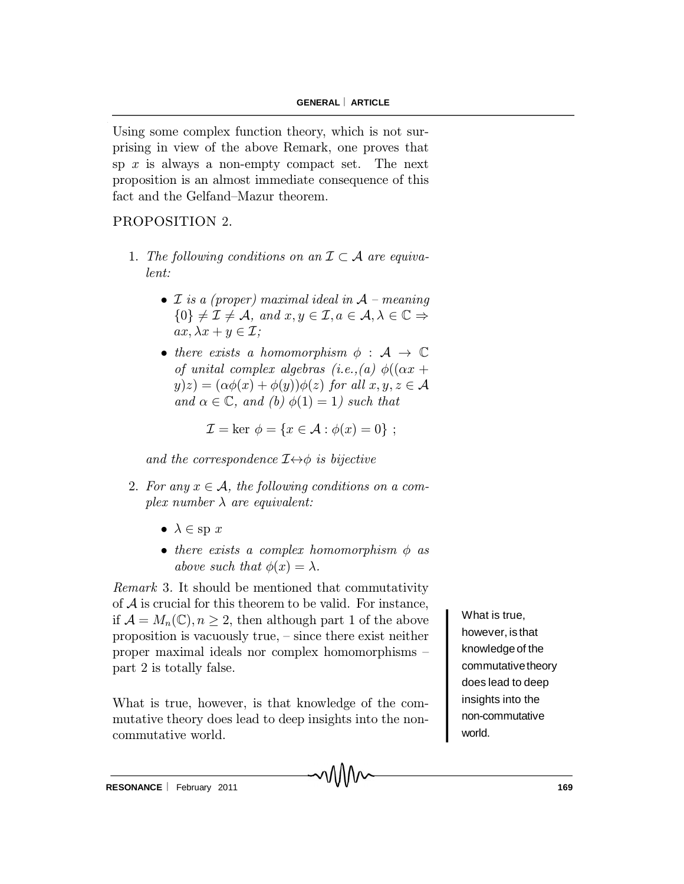Using some complex function theory, which is not surprising in view of the above Remark, one proves that sp  $x$  is always a non-empty compact set. The next proposition is an almost immediate consequence of this fact and the Gelfand-Mazur theorem.

## PROPOSITION 2.

- 1. The following conditions on an  $\mathcal{I} \subset \mathcal{A}$  are equivalent:
	- $\mathcal I$  is a (proper) maximal ideal in  $\mathcal A$  meaning  $\{0\} \neq \mathcal{I} \neq \mathcal{A}, \text{ and } x, y \in \mathcal{I}, a \in \mathcal{A}, \lambda \in \mathbb{C} \Rightarrow$  $ax, \lambda x + y \in \mathcal{I}$ ;
	- there exists a homomorphism  $\phi : A \rightarrow \mathbb{C}$ of unital complex algebras (i.e., (a)  $\phi((\alpha x +$  $y(z) = (\alpha \phi(x) + \phi(y))\phi(z)$  for all  $x, y, z \in A$ and  $\alpha \in \mathbb{C}$ , and (b)  $\phi(1) = 1$ ) such that

$$
\mathcal{I} = \ker \phi = \{x \in \mathcal{A} : \phi(x) = 0\} ;
$$

and the correspondence  $I \leftrightarrow \phi$  is bijective

- 2. For any  $x \in A$ , the following conditions on a complex number  $\lambda$  are equivalent:
	- $\lambda \in \text{sp } x$
	- $\bullet$  there exists a complex homomorphism  $\phi$  as above such that  $\phi(x) = \lambda$ .

Remark 3. It should be mentioned that commutativity of  $A$  is crucial for this theorem to be valid. For instance, if  $\mathcal{A} = M_n(\mathbb{C}), n \geq 2$ , then although part 1 of the above proposition is vacuously true,  $-$  since there exist neither proper maximal ideals nor complex homomorphisms  $$ part 2 is totally false.

What is true, however, is that knowledge of the commutative theory does lead to deep insights into the noncommutative world.

What is true, however, is that knowledgeof the commutative theory does lead to deep insights into the non-commutative world.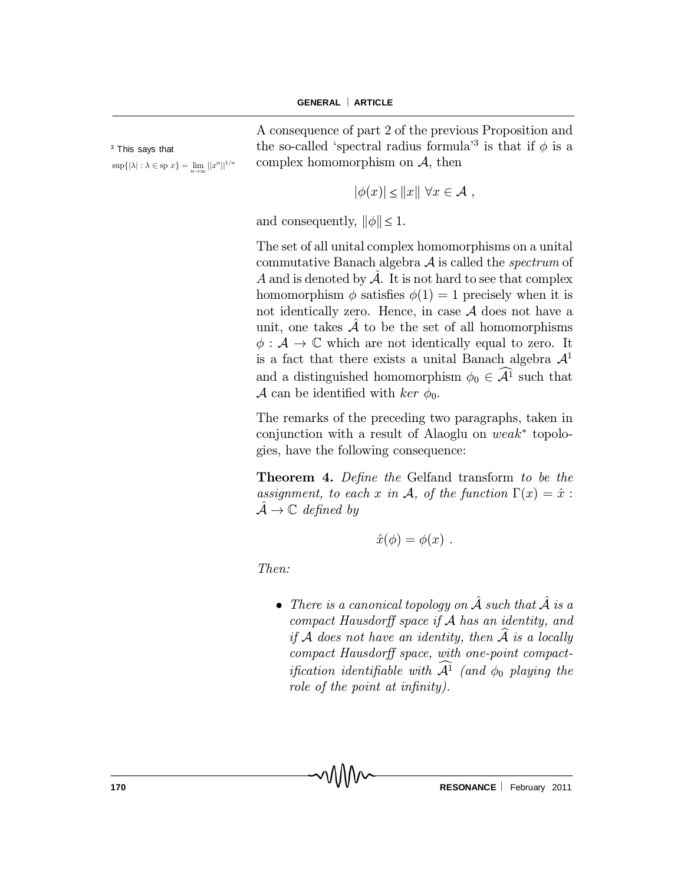<sup>3</sup> This says that  $\sup\{|\lambda| : \lambda \in \text{sp } x\} = \lim_{n \to \infty} ||x^n||^{1/n}$  A consequence of part 2 of the previous Proposition and the so-called 'spectral radius formula<sup>3</sup> is that if  $\phi$  is a complex homomorphism on  $A$ , then

$$
|\phi(x)| \le ||x|| \,\,\forall x \in \mathcal{A} \,\,,
$$

and consequently,  $\|\phi\| \leq 1$ .

The set of all unital complex homomorphisms on a unital commutative Banach algebra  $A$  is called the *spectrum* of A and is denoted by  $\mathcal{A}$ . It is not hard to see that complex homomorphism  $\phi$  satisfies  $\phi(1) = 1$  precisely when it is not identically zero. Hence, in case  $A$  does not have a unit, one takes  $A$  to be the set of all homomorphisms  $\phi : A \to \mathbb{C}$  which are not identically equal to zero. It is a fact that there exists a unital Banach algebra  $\mathcal{A}^1$ and a distinguished homomorphism  $\phi_0 \in \mathcal{A}^1$  such that A can be identified with ker  $\phi_0$ .

The remarks of the preceding two paragraphs, taken in conjunction with a result of Alaoglu on  $weak^*$  topologies, have the following consequence:

Theorem 4. Define the Gelfand transform to be the assignment, to each x in A, of the function  $\Gamma(x) = \hat{x}$ :  $\mathcal{A} \to \mathbb{C}$  defined by

$$
\hat{x}(\phi) = \phi(x) .
$$

Then:

• There is a canonical topology on  $\hat{\mathcal{A}}$  such that  $\hat{\mathcal{A}}$  is a compact Hausdorff space if  $A$  has an identity, and if A does not have an identity, then  $\mathcal{\hat{A}}$  is a locally compact Hausdorff space, with one-point compactification identifiable with  $\mathcal{A}^1$  (and  $\phi_0$  playing the role of the point at infinity).

MMv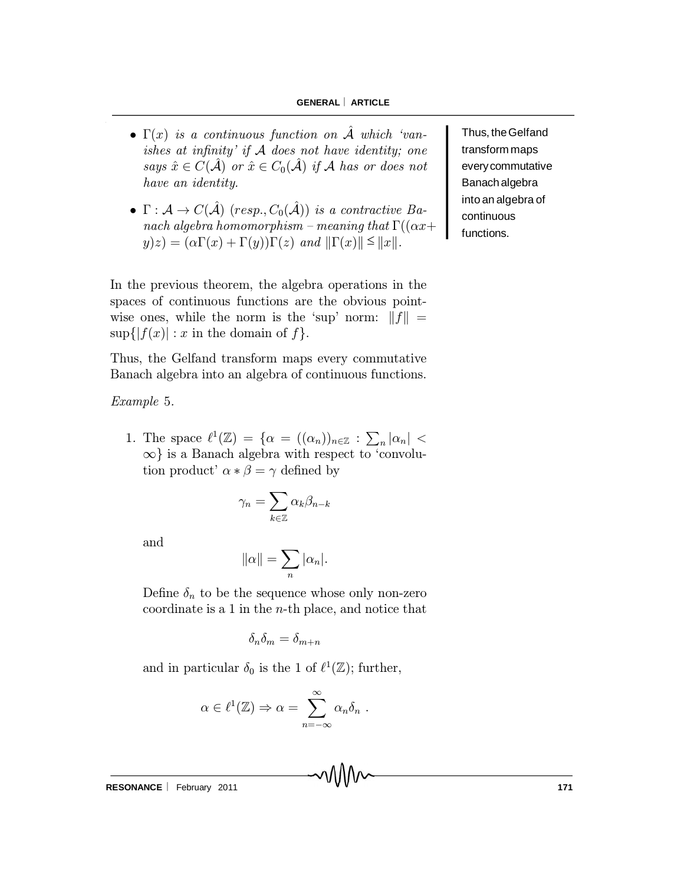#### **GENERAL ARTICLE**

- $\bullet \Gamma(x)$  is a continuous function on  $\mathcal A$  which 'vanishes at infinity' if  $A$  does not have identity; one says  $\hat{x} \in C(\hat{\mathcal{A}})$  or  $\hat{x} \in C_0(\hat{\mathcal{A}})$  if A has or does not have an identity.
- $\Gamma: \mathcal{A} \to C(\hat{\mathcal{A}})$  (resp.,  $C_0(\hat{\mathcal{A}})$ ) is a contractive Banach algebra homomorphism - meaning that  $\Gamma((\alpha x+\alpha)y)$  $y(z) = (\alpha \Gamma(x) + \Gamma(y))\Gamma(z)$  and  $\|\Gamma(x)\| \leq \|x\|.$

In the previous theorem, the algebra operations in the spaces of continuous functions are the obvious pointwise ones, while the norm is the 'sup' norm:  $||f|| =$  $\sup\{|f(x)| : x$  in the domain of f.

Thus, the Gelfand transform maps every commutative Banach algebra into an algebra of continuous functions.

Example 5.

1. The space  $\ell^1(\mathbb{Z}) = {\alpha = ((\alpha_n))_{n \in \mathbb{Z}} : \sum_n |\alpha_n|}$  $\infty$  is a Banach algebra with respect to 'convolution product'  $\alpha * \beta = \gamma$  defined by

$$
\gamma_n = \sum_{k \in \mathbb{Z}} \alpha_k \beta_{n-k}
$$

and

$$
\|\alpha\| = \sum_n |\alpha_n|.
$$

Define  $\delta_n$  to be the sequence whose only non-zero coordinate is a 1 in the  $n$ -th place, and notice that

$$
\delta_n\delta_m=\delta_{m+n}
$$

and in particular  $\delta_0$  is the 1 of  $\ell^1(\mathbb{Z})$ ; further,

$$
\alpha \in \ell^1(\mathbb{Z}) \Rightarrow \alpha = \sum_{n=-\infty}^{\infty} \alpha_n \delta_n .
$$

Thus, theGelfand transform maps everycommutative Banach algebra into an algebra of continuous functions.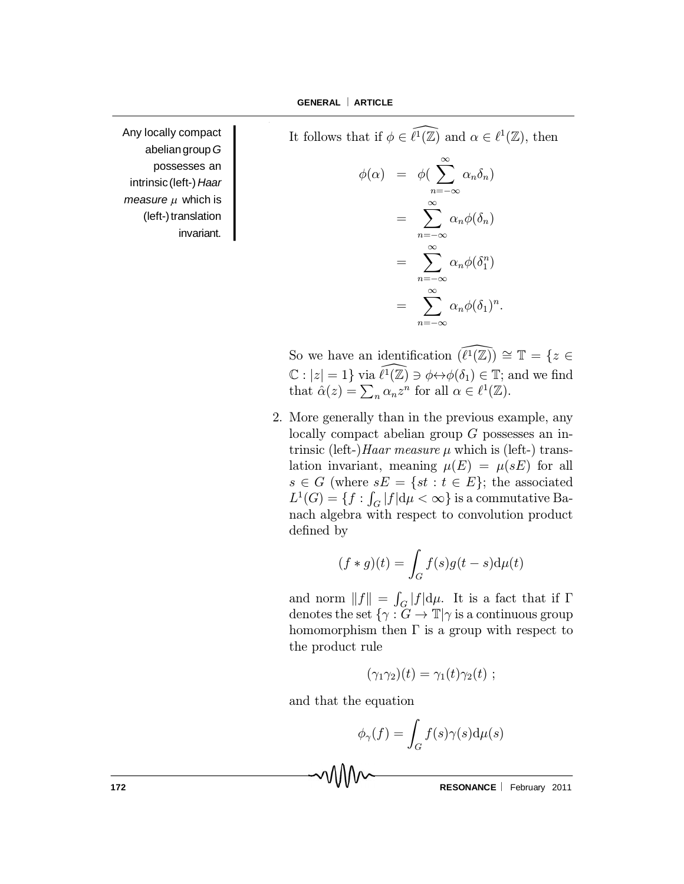It follows that if  $\phi \in \widetilde{\ell^1}(\mathbb{Z})$  and  $\alpha \in \ell^1(\mathbb{Z})$ , then

$$
\phi(\alpha) = \phi(\sum_{n=-\infty}^{\infty} \alpha_n \delta_n)
$$

$$
= \sum_{n=-\infty}^{\infty} \alpha_n \phi(\delta_n)
$$

$$
= \sum_{n=-\infty}^{\infty} \alpha_n \phi(\delta_1^n)
$$

$$
= \sum_{n=-\infty}^{\infty} \alpha_n \phi(\delta_1)^n.
$$

Any locally compact abeliangroup*G* possesses an intrinsic(left-) *Haar measure*  $\mu$  which is (left-)translation invariant.

> So we have an identification  $(\widehat{\ell^1}(\mathbb{Z})) \cong \mathbb{T} = \{z \in \mathbb{Z} \}$  $\mathbb{C}: |z|=1$  via  $\widehat{\ell^1}(\mathbb{Z}) \ni \phi \leftrightarrow \phi(\delta_1) \in \mathbb{T}$ ; and we find that  $\hat{\alpha}(z) = \sum_n \alpha_n z^n$  for all  $\alpha \in \ell^1(\mathbb{Z})$ .

2. More generally than in the previous example, any locally compact abelian group G possesses an intrinsic (left-)*Haar measure*  $\mu$  which is (left-) translation invariant, meaning  $\mu(E) = \mu(sE)$  for all  $s \in G$  (where  $sE = \{st : t \in E\}$ ; the associated  $L^1(G) = \{f: \int_G |f| \mathrm{d} \mu < \infty\}$  is a commutative Banach algebra with respect to convolution product defined by

$$
(f * g)(t) = \int_G f(s)g(t - s)\mathrm{d}\mu(t)
$$

and norm  $||f|| = \int_G |f| d\mu$ . It is a fact that if  $\Gamma$ denotes the set  $\{\gamma : G \to \mathbb{T} | \gamma \text{ is a continuous group}\}$ homomorphism then  $\Gamma$  is a group with respect to the product rule

$$
(\gamma_1\gamma_2)(t)=\gamma_1(t)\gamma_2(t)
$$
;

and that the equation

MW

$$
\phi_{\gamma}(f) = \int_{G} f(s)\gamma(s)\mathrm{d}\mu(s)
$$

**172 RESONANCE** February 2011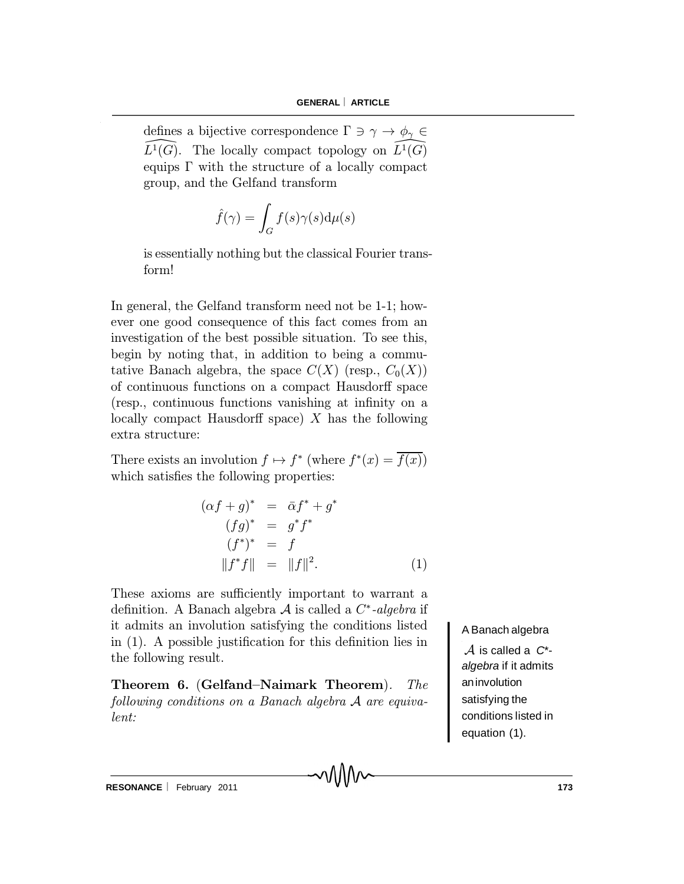defines a bijective correspondence  $\Gamma \ni \gamma \to \phi_{\gamma} \in$  $\widehat{L}^1(G)$ . The locally compact topology on  $\widehat{L}^1(G)$ equips  $\Gamma$  with the structure of a locally compact group, and the Gelfand transform

$$
\hat{f}(\gamma) = \int_G f(s)\gamma(s)\mathrm{d}\mu(s)
$$

is essentially nothing but the classical Fourier transform!

In general, the Gelfand transform need not be 1-1; however one good consequence of this fact comes from an investigation of the best possible situation. To see this, begin by noting that, in addition to being a commutative Banach algebra, the space  $C(X)$  (resp.,  $C_0(X)$ ) of continuous functions on a compact Hausdorff space (resp., continuous functions vanishing at infinity on a locally compact Hausdorff space)  $X$  has the following extra structure:

There exists an involution  $f \mapsto f^*$  (where  $f^*(x) = f(x)$ ) which satisfies the following properties:

$$
(\alpha f + g)^{*} = \overline{\alpha} f^{*} + g^{*}
$$
  
\n
$$
(fg)^{*} = g^{*} f^{*}
$$
  
\n
$$
(f^{*})^{*} = f
$$
  
\n
$$
||f^{*}f|| = ||f||^{2}.
$$
  
\n(1)

These axioms are sufficiently important to warrant a definition. A Banach algebra  ${\mathcal A}$  is called a  $C^*$ -algebra if it admits an involution satisfying the conditions listed in  $(1)$ . A possible justification for this definition lies in the following result.

Theorem 6. (Gelfand-Naimark Theorem). The following conditions on a Banach algebra A are equivalent:

A Banach algebra

A is called a *<sup>C</sup>*\* *algebra* if it admits aninvolution satisfying the conditions listed in equation (1).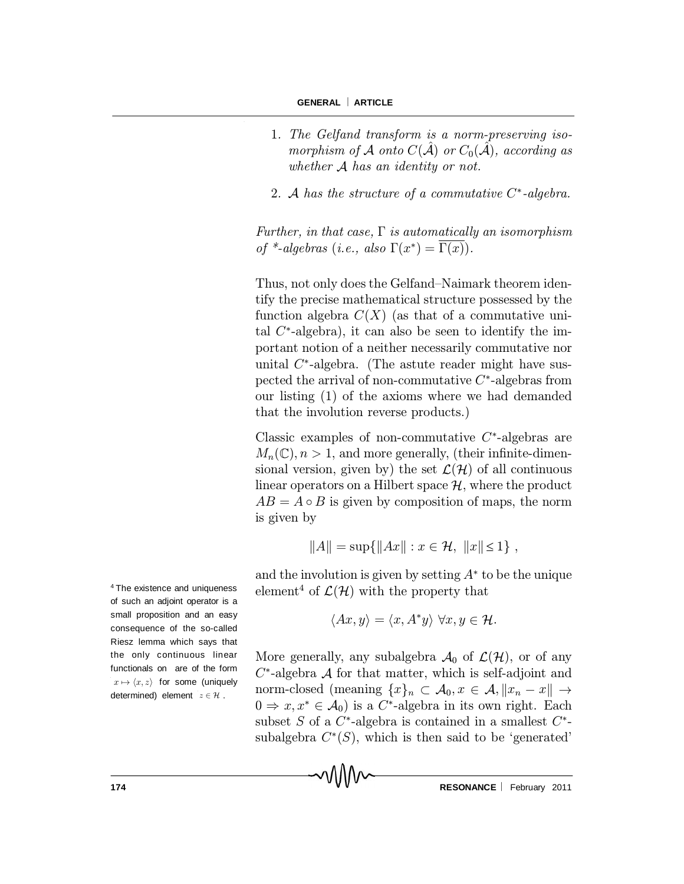- 1. The Gelfand transform is a norm-preserving isomorphism of A onto  $C(\tilde{\mathcal{A}})$  or  $C_0(\tilde{\mathcal{A}})$ , according as whether A has an identity or not.
- 2. A has the structure of a commutative  $C^*$ -algebra.

Further, in that case,  $\Gamma$  is automatically an isomorphism of \*-algebras (i.e., also  $\Gamma(x^*) = \Gamma(x)$ ).

Thus, not only does the Gelfand-Naimark theorem identify the precise mathematical structure possessed by the function algebra  $C(X)$  (as that of a commutative unital  $C^*$ -algebra), it can also be seen to identify the important notion of a neither necessarily commutative nor unital  $C^*$ -algebra. (The astute reader might have suspected the arrival of non-commutative  $C^*$ -algebras from our listing (1) of the axioms where we had demanded that the involution reverse products.)

Classic examples of non-commutative  $C^*$ -algebras are  $M_n(\mathbb{C}), n > 1$ , and more generally, (their infinite-dimensional version, given by) the set  $\mathcal{L}(\mathcal{H})$  of all continuous linear operators on a Hilbert space  $\mathcal{H}$ , where the product  $AB = A \circ B$  is given by composition of maps, the norm is given by

$$
||A|| = \sup{||Ax|| : x \in \mathcal{H}, ||x|| \le 1},
$$

and the involution is given by setting  $A^*$  to be the unique element<sup>4</sup> of  $\mathcal{L}(\mathcal{H})$  with the property that

$$
\langle Ax, y \rangle = \langle x, A^*y \rangle \,\forall x, y \in \mathcal{H}.
$$

More generally, any subalgebra  $\mathcal{A}_0$  of  $\mathcal{L}(\mathcal{H})$ , or of any  $C^*$ -algebra  $\mathcal A$  for that matter, which is self-adjoint and norm-closed (meaning  $\{x\}_n \subset \mathcal{A}_0, x \in \mathcal{A}, ||x_n - x|| \to$  $0 \Rightarrow x, x^* \in \mathcal{A}_0$  is a C<sup>\*</sup>-algebra in its own right. Each subset S of a  $C^*$ -algebra is contained in a smallest  $C^*$ subalgebra  $C^*(S)$ , which is then said to be 'generated'

<sup>4</sup> The existence and uniqueness of such an adjoint operator is a small proposition and an easy consequence of the so-called Riesz lemma which says that the only continuous linear functionals on are of the form  $x \mapsto \langle x, z \rangle$  for some (uniquely determined) element  $z \in \mathcal{H}$ .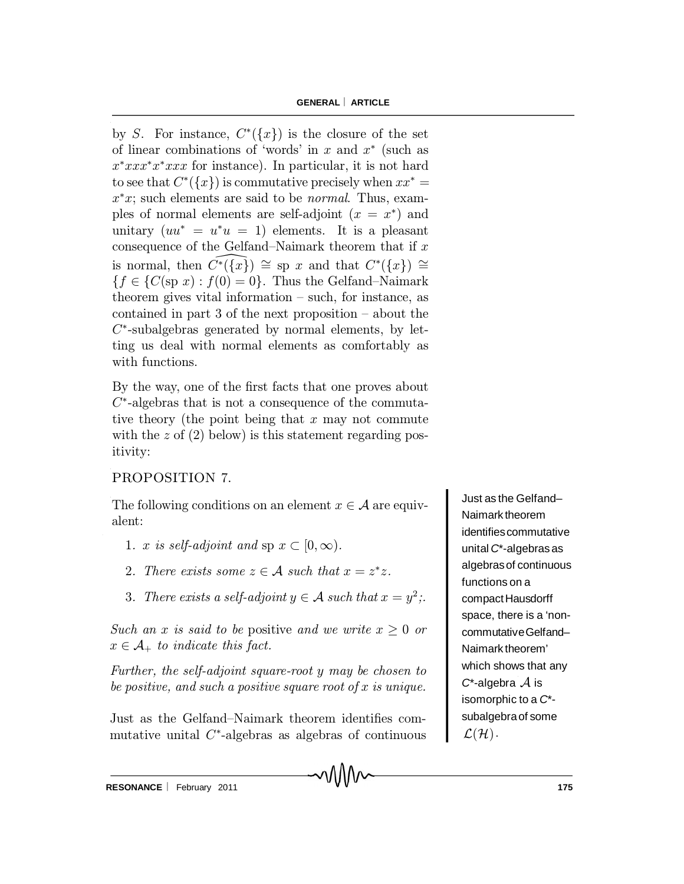by S. For instance,  $C^*(\lbrace x \rbrace)$  is the closure of the set of linear combinations of 'words' in  $x$  and  $x^*$  (such as  $x^*xxxx^*xxxx$  for instance). In particular, it is not hard to see that  $C^*(\lbrace x \rbrace)$  is commutative precisely when  $xx^* =$  $x^*x$ ; such elements are said to be *normal*. Thus, examples of normal elements are self-adjoint  $(x = x^*)$  and unitary  $(uu^* = u^*u = 1)$  elements. It is a pleasant consequence of the Gelfand-Naimark theorem that if  $x$ is normal, then  $\widehat{C^*}(\overline{\{x\}}) \cong \text{sp } x$  and that  $C^*(\overline{\{x\}}) \cong$  ${f \in \{C(\text{sp } x): f(0) = 0\}}$ . Thus the Gelfand-Naimark theorem gives vital information  $-$  such, for instance, as contained in part  $3$  of the next proposition  $-$  about the  $C^*$ -subalgebras generated by normal elements, by letting us deal with normal elements as comfortably as with functions.

By the way, one of the first facts that one proves about  $C^*$ -algebras that is not a consequence of the commutative theory (the point being that  $x$  may not commute with the  $z$  of  $(2)$  below) is this statement regarding positivity:

## PROPOSITION 7.

The following conditions on an element  $x \in \mathcal{A}$  are equivalent:

- 1. x is self-adjoint and sp  $x \in [0,\infty)$ .
- 2. There exists some  $z \in A$  such that  $x = z^*z$ .
- 3. There exists a self-adjoint  $y \in A$  such that  $x = y^2$ ;.

Such an x is said to be positive and we write  $x \geq 0$  or  $x \in \mathcal{A}_{+}$  to indicate this fact.

Further, the self-adjoint square-root y may be chosen to be positive, and such a positive square root of  $x$  is unique.

Just as the Gelfand–Naimark theorem identifies commutative unital  $C^*$ -algebras as algebras of continuous

Just as the Gelfand– Naimark theorem identifiescommutative unital *C*\*-algebras as algebrasof continuous functions on a compactHausdorff space, there is a 'noncommutativeGelfand– Naimark theorem' which shows that any  $C^*$ -algebra  $\mathcal A$  is isomorphic to a *C*\* subalgebraof some  $\mathcal{L}(\mathcal{H})$ .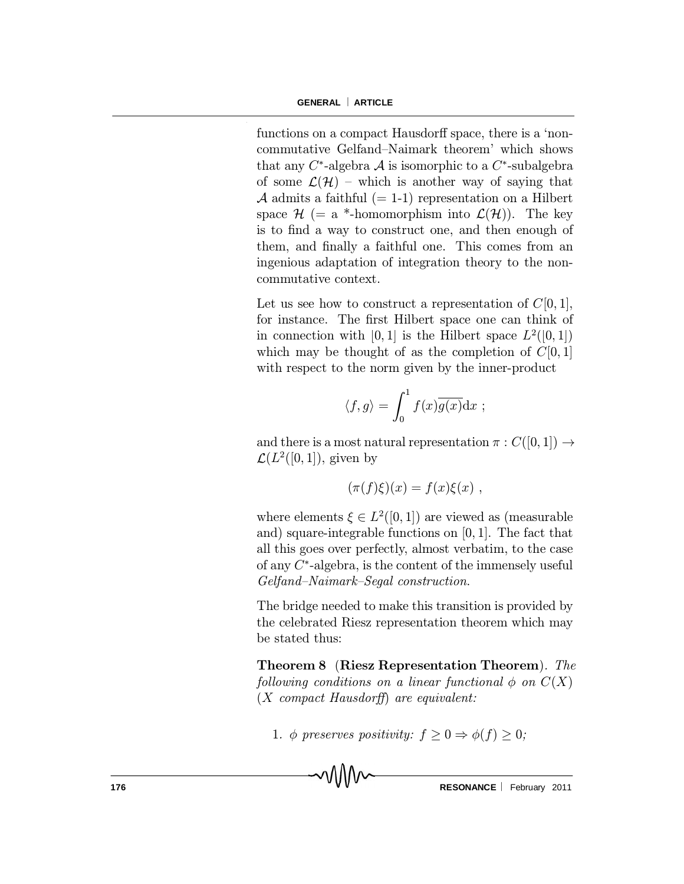functions on a compact Hausdorff space, there is a 'noncommutative Gelfand-Naimark theorem' which shows that any  $C^*$ -algebra  $\mathcal A$  is isomorphic to a  $C^*$ -subalgebra of some  $\mathcal{L}(\mathcal{H})$  – which is another way of saying that A admits a faithful  $(= 1-1)$  representation on a Hilbert space  $\mathcal{H}$  (= a \*-homomorphism into  $\mathcal{L}(\mathcal{H})$ ). The key is to find a way to construct one, and then enough of them, and finally a faithful one. This comes from an ingenious adaptation of integration theory to the noncommutative context.

Let us see how to construct a representation of  $C[0, 1]$ , for instance. The first Hilbert space one can think of in connection with [0, 1] is the Hilbert space  $L^2([0,1])$ which may be thought of as the completion of  $C[0, 1]$ with respect to the norm given by the inner-product

$$
\langle f, g \rangle = \int_0^1 f(x) \overline{g(x)} dx
$$
;

and there is a most natural representation  $\pi : C([0,1]) \rightarrow$  $\mathcal{L}(L^2([0,1]),$  given by

$$
(\pi(f)\xi)(x) = f(x)\xi(x) ,
$$

where elements  $\xi \in L^2([0,1])$  are viewed as (measurable and) square-integrable functions on [0; 1]. The fact that all this goes over perfectly, almost verbatim, to the case of any  $C^*$ -algebra, is the content of the immensely useful  $Gelfand-Naimark-Segal$  construction.

The bridge needed to make this transition is provided by the celebrated Riesz representation theorem which may be stated thus:

Theorem 8. (Riesz Representation Theorem). The following conditions on a linear functional  $\phi$  on  $C(X)$  $(X$  compact Hausdorff) are equivalent:

1.  $\phi$  preserves positivity:  $f \geq 0 \Rightarrow \phi(f) \geq 0;$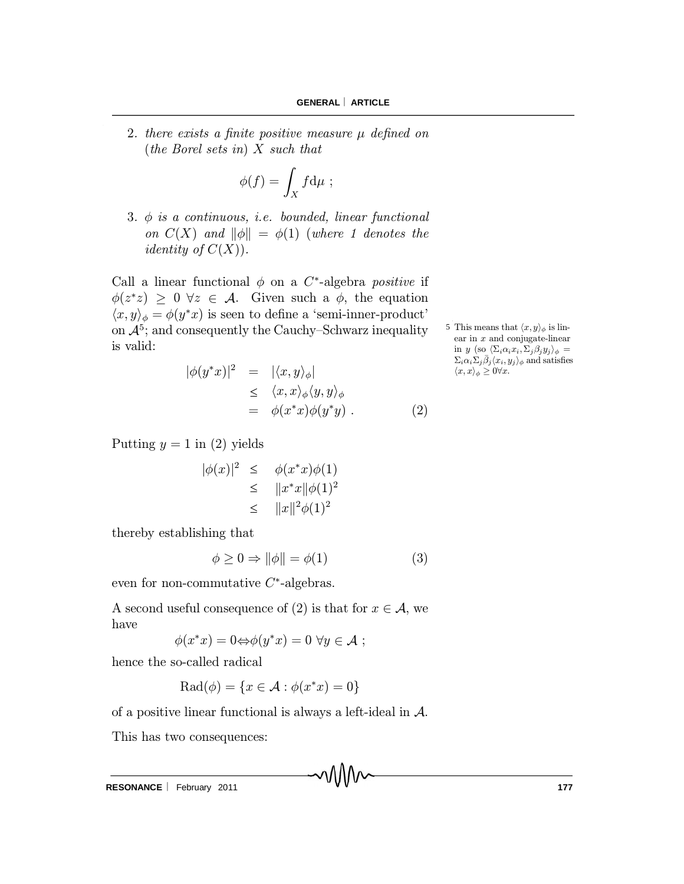2. there exists a finite positive measure  $\mu$  defined on (the Borel sets in) X such that

$$
\phi(f) = \int_X f \mathrm{d}\mu \ ;
$$

3.  $\phi$  is a continuous, i.e. bounded, linear functional on  $C(X)$  and  $\|\phi\| = \phi(1)$  (where 1 denotes the *identity of*  $C(X)$ .

Call a linear functional  $\phi$  on a C<sup>\*</sup>-algebra *positive* if  $\phi(z^*z) \geq 0 \ \forall z \in \mathcal{A}$ . Given such a  $\phi$ , the equation  $\langle x, y \rangle_{\phi} = \phi(y^*x)$  is seen to define a 'semi-inner-product' on  $\mathcal{A}^5$ ; and consequently the Cauchy–Schwarz inequality is valid:

$$
|\phi(y^*x)|^2 = |\langle x, y \rangle_{\phi}|
$$
  
\n
$$
\leq \langle x, x \rangle_{\phi} \langle y, y \rangle_{\phi}
$$
  
\n
$$
= \phi(x^*x) \phi(y^*y) .
$$
\n(2)

5 This means that  $\langle x, y \rangle_{\phi}$  is linear in x and conjugate-linear in y (so  $\langle \Sigma_i \alpha_i x_i, \Sigma_j \beta_j y_j \rangle_{\phi} =$  $\sum_i \alpha_i \sum_j \bar{\beta}_j \langle x_i, y_j \rangle_{\phi}$  and satisfies  $\langle x, x \rangle_{\phi} \geq 0 \forall x.$ 

Putting  $y = 1$  in (2) yields

$$
|\phi(x)|^2 \leq \phi(x^*x)\phi(1)
$$
  
\n
$$
\leq ||x^*x||\phi(1)^2
$$
  
\n
$$
\leq ||x||^2\phi(1)^2
$$

thereby establishing that

$$
\phi \ge 0 \Rightarrow \|\phi\| = \phi(1) \tag{3}
$$

even for non-commutative  $C^*$ -algebras.

A second useful consequence of (2) is that for  $x \in A$ , we have

$$
\phi(x^*x) = 0 \Leftrightarrow \phi(y^*x) = 0 \,\,\forall y \in \mathcal{A} \;;
$$

hence the so-called radical

$$
\text{Rad}(\phi) = \{x \in \mathcal{A} : \phi(x^*x) = 0\}
$$

of a positive linear functional is always a left-ideal in A.

This has two consequences:

**RESONANCE** | February 2011 **177 177**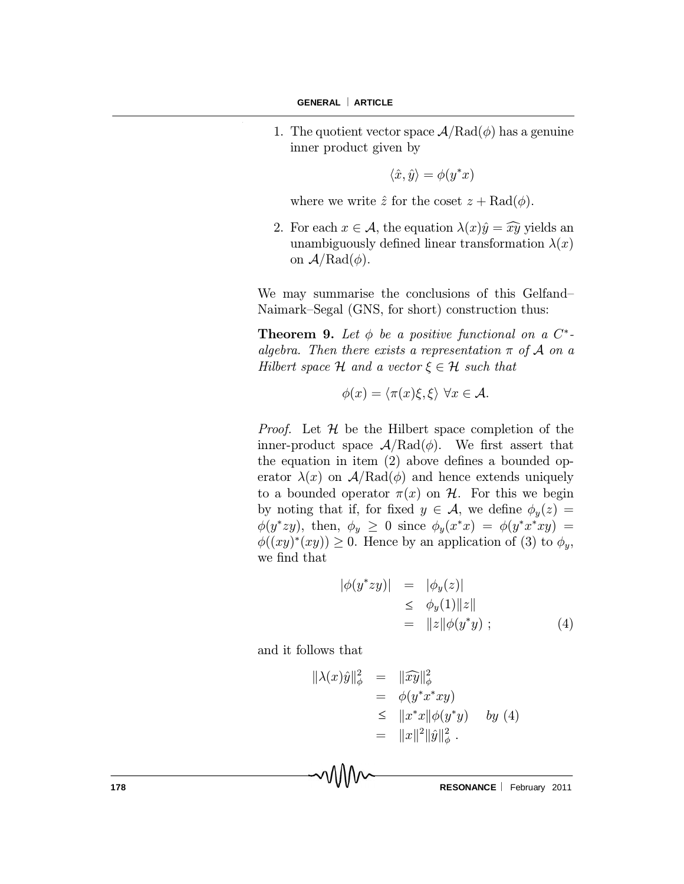1. The quotient vector space  $A/Rad(\phi)$  has a genuine inner product given by

$$
\langle \hat{x}, \hat{y} \rangle = \phi(y^*x)
$$

where we write  $\hat{z}$  for the coset  $z + \text{Rad}(\phi)$ .

2. For each  $x \in \mathcal{A}$ , the equation  $\lambda(x)\hat{y} = \hat{x}\hat{y}$  yields an unambiguously defined linear transformation  $\lambda(x)$ on  $A/Rad(\phi)$ .

We may summarise the conclusions of this Gelfand-Naimark-Segal (GNS, for short) construction thus:

**Theorem 9.** Let  $\phi$  be a positive functional on a  $C^*$ algebra. Then there exists a representation  $\pi$  of  $\mathcal A$  on a Hilbert space H and a vector  $\xi \in \mathcal{H}$  such that

$$
\phi(x) = \langle \pi(x)\xi, \xi \rangle \,\,\forall x \in \mathcal{A}.
$$

*Proof.* Let  $H$  be the Hilbert space completion of the inner-product space  $A/Rad(\phi)$ . We first assert that the equation in item  $(2)$  above defines a bounded operator  $\lambda(x)$  on  $A/Rad(\phi)$  and hence extends uniquely to a bounded operator  $\pi(x)$  on H. For this we begin by noting that if, for fixed  $y \in \mathcal{A}$ , we define  $\phi_y(z) =$  $\phi(y^*zy)$ , then,  $\phi_y \geq 0$  since  $\phi_y(x^*x) = \phi(y^*x^*xy) =$  $\phi((xy)^*(xy)) \geq 0$ . Hence by an application of (3) to  $\phi_y$ , we find that

$$
\begin{array}{rcl}\n|\phi(y^*zy)| & = & |\phi_y(z)| \\
& \leq & \phi_y(1)\|z\| \\
& = & \|z\|\phi(y^*y)\n\end{array} \tag{4}
$$

and it follows that

MMv

$$
\|\lambda(x)\hat{y}\|_{\phi}^{2} = \|\widehat{xy}\|_{\phi}^{2}
$$
  
\n
$$
= \phi(y^*x^*xy)
$$
  
\n
$$
\leq \|x^*x\|\phi(y^*y) \quad by \text{ (4)}
$$
  
\n
$$
= \|x\|^2 \|\hat{y}\|_{\phi}^{2} .
$$

**178 RESONANCE** February 2011